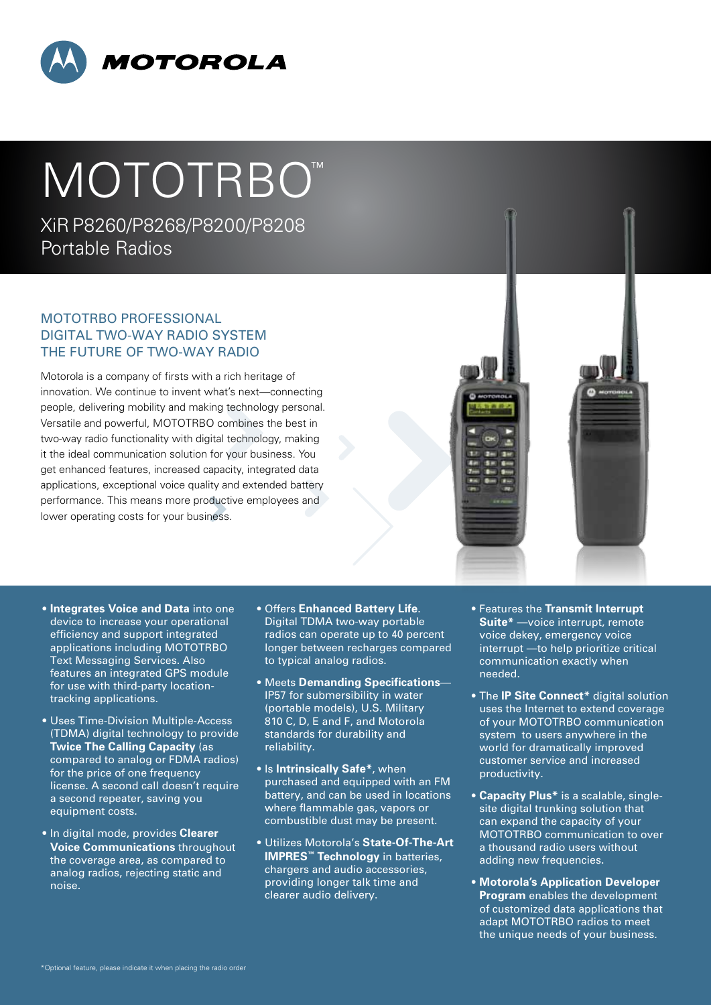

## MOTOTRBO<sup>™</sup>

XiRP8260/P8268/P8200/P8208 Portable Radios

## MOTOTRBO Professional Digital Two-Way Radio System The future of two-way radio

Motorola is a company of firsts with a rich heritage of innovation. We continue to invent what's next—connecting people, delivering mobility and making technology personal. Versatile and powerful, MOTOTRBO combines the best in two-way radio functionality with digital technology, making it the ideal communication solution for your business. You get enhanced features, increased capacity, integrated data applications, exceptional voice quality and extended battery performance. This means more productive employees and lower operating costs for your business.

- **Integrates Voice and Data** into one device to increase your operational efficiency and support integrated applications including MOTOTRBO Text Messaging Services. Also features an integrated GPS module for use with third-party locationtracking applications.
- Uses Time-Division Multiple-Access (TDMA) digital technology to provide **Twice The Calling Capacity** (as compared to analog or FDMA radios) for the price of one frequency license. A second call doesn't require a second repeater, saving you equipment costs.
- In digital mode, provides **Clearer Voice Communications** throughout the coverage area, as compared to analog radios, rejecting static and noise.
- Offers **Enhanced Battery Life**. Digital TDMA two-way portable radios can operate up to 40 percent longer between recharges compared to typical analog radios.
- Meets **Demanding Specifications** IP57 for submersibility in water (portable models), U.S. Military 810 C, D, E and F, and Motorola standards for durability and reliability.
- Is **Intrinsically Safe\***, when purchased and equipped with an FM battery, and can be used in locations where flammable gas, vapors or combustible dust may be present.
- Utilizes Motorola's **State-Of-The-Art IMPRES™ Technology** in batteries, chargers and audio accessories, providing longer talk time and clearer audio delivery.
- Features the **Transmit Interrupt Suite\*** —voice interrupt, remote voice dekey, emergency voice interrupt —to help prioritize critical communication exactly when needed.
- The **IP Site Connect\*** digital solution uses the Internet to extend coverage of your MOTOTRBO communication system to users anywhere in the world for dramatically improved customer service and increased productivity.
- **Capacity Plus\*** is a scalable, singlesite digital trunking solution that can expand the capacity of your MOTOTRBO communication to over a thousand radio users without adding new frequencies.
- **Motorola's Application Developer Program** enables the development of customized data applications that adapt MOTOTRBO radios to meet the unique needs of your business.